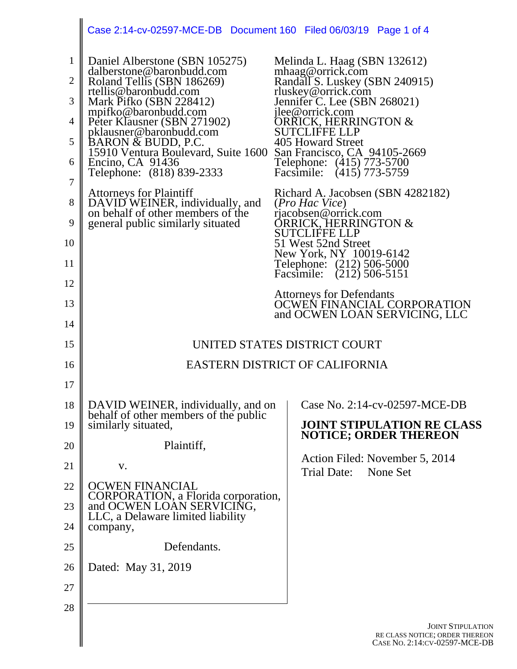|                                                                                | Case 2:14-cv-02597-MCE-DB  Document 160  Filed 06/03/19  Page 1 of 4                                                                                                                                                                                                                                                                                                                                                                                                                         |                                                                                                                                                                                                                                                                                                                                                                                                                                                                               |  |
|--------------------------------------------------------------------------------|----------------------------------------------------------------------------------------------------------------------------------------------------------------------------------------------------------------------------------------------------------------------------------------------------------------------------------------------------------------------------------------------------------------------------------------------------------------------------------------------|-------------------------------------------------------------------------------------------------------------------------------------------------------------------------------------------------------------------------------------------------------------------------------------------------------------------------------------------------------------------------------------------------------------------------------------------------------------------------------|--|
| $\mathbf{1}$<br>$\overline{2}$<br>3<br>4<br>5<br>6<br>$\overline{7}$<br>8<br>9 | Daniel Alberstone (SBN 105275)<br>dalberstone@baronbudd.com<br>Roland Tellis (SBN 186269)<br>rtellis@baronbudd.com<br>Mark Pifko (SBN 228412)<br>mpifko@baronbudd.com<br>Peter Klausner (SBN 271902)<br>pklausner@baronbudd.com<br>BARON & BUDD, P.C.<br>15910 Ventura Boulevard, Suite 1600<br>Encino, CA 91436<br>Telephone: (818) 839-2333<br><b>Attorneys for Plaintiff</b><br>DAVID WEINER, individually, and<br>on behalf of other members of the<br>general public similarly situated | Melinda L. Haag (SBN 132612)<br>mhaag@orrick.com<br>Randall S. Luskey (SBN 240915)<br>rluskey@orrick.com<br>Jennifer C. Lee (SBN 268021)<br>jlee@orrick.com<br>ORRICK, HERRINGTON &<br><b>SUTCLIFFE LLP</b><br>405 Howard Street<br>San Francisco, CA 94105-2669<br>Telephone: (415) 773-5700<br>Facsimile: (415) 773-5759<br>Richard A. Jacobsen (SBN 4282182)<br>( <i>Pro Hac Vice</i> )<br>rjacobsen@orrick.com<br><b>ÖRRICK, HERRINGTON &amp;</b><br><b>SUTCLIFFE LLP</b> |  |
| 10<br>11<br>12<br>13<br>14                                                     |                                                                                                                                                                                                                                                                                                                                                                                                                                                                                              | 51 West 52nd Street<br>New York, NY 10019-6142<br>Telephone: (212) 506-5000<br>Facsimile: (212) 506-5151<br><b>Attorneys for Defendants</b><br>OCWEN FINANCIAL CORPORATION<br>and OCWEN LOAN SERVICING, LLC                                                                                                                                                                                                                                                                   |  |
| 15                                                                             | UNITED STATES DISTRICT COURT                                                                                                                                                                                                                                                                                                                                                                                                                                                                 |                                                                                                                                                                                                                                                                                                                                                                                                                                                                               |  |
| 16                                                                             | <b>EASTERN DISTRICT OF CALIFORNIA</b>                                                                                                                                                                                                                                                                                                                                                                                                                                                        |                                                                                                                                                                                                                                                                                                                                                                                                                                                                               |  |
| 17                                                                             |                                                                                                                                                                                                                                                                                                                                                                                                                                                                                              |                                                                                                                                                                                                                                                                                                                                                                                                                                                                               |  |
| 18<br>19<br>20<br>21<br>22<br>23<br>24<br>25<br>26<br>27<br>28                 | DAVID WEINER, individually, and on<br>behalf of other members of the public<br>similarly situated,<br>Plaintiff,<br>V.<br><b>OCWEN FINANCIAL</b><br>CORPORATION, a Florida corporation,<br>and OCWEN LOAN SERVICING,<br>LLC, a Delaware limited liability<br>company,<br>Defendants.<br>Dated: May 31, 2019                                                                                                                                                                                  | Case No. 2:14-cv-02597-MCE-DB<br><b>JOINT STIPULATION RE CLASS</b><br><b>NOTICE; ORDER THEREON</b><br>Action Filed: November 5, 2014<br>Trial Date:<br>None Set                                                                                                                                                                                                                                                                                                               |  |
|                                                                                |                                                                                                                                                                                                                                                                                                                                                                                                                                                                                              | <b>JOINT STIPULATI</b><br>RE CLASS NOTICE; ORDER THERE<br>CASE NO. 2:14:CV-02597-MCE-I                                                                                                                                                                                                                                                                                                                                                                                        |  |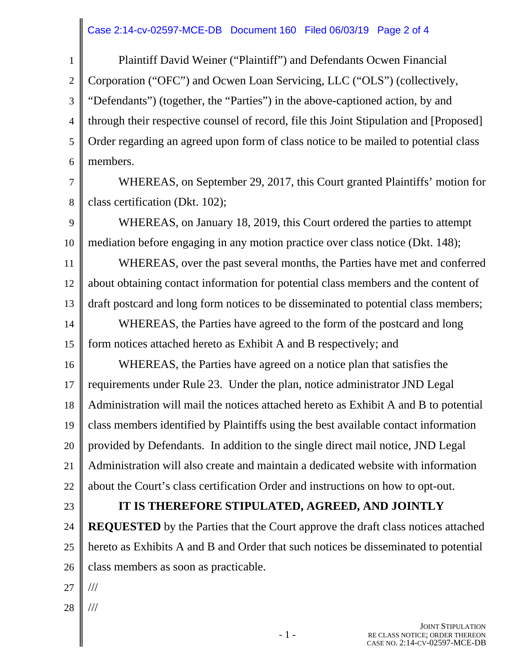## Case 2:14-cv-02597-MCE-DB Document 160 Filed 06/03/19 Page 2 of 4

1 2 3 4 5 6 Plaintiff David Weiner ("Plaintiff") and Defendants Ocwen Financial Corporation ("OFC") and Ocwen Loan Servicing, LLC ("OLS") (collectively, "Defendants") (together, the "Parties") in the above-captioned action, by and through their respective counsel of record, file this Joint Stipulation and [Proposed] Order regarding an agreed upon form of class notice to be mailed to potential class members.

7

8

WHEREAS, on September 29, 2017, this Court granted Plaintiffs' motion for class certification (Dkt. 102);

9 10 WHEREAS, on January 18, 2019, this Court ordered the parties to attempt mediation before engaging in any motion practice over class notice (Dkt. 148);

11 12 13 WHEREAS, over the past several months, the Parties have met and conferred about obtaining contact information for potential class members and the content of draft postcard and long form notices to be disseminated to potential class members; WHEREAS, the Parties have agreed to the form of the postcard and long

14 15 form notices attached hereto as Exhibit A and B respectively; and

16 17 18 19 20 21 22 WHEREAS, the Parties have agreed on a notice plan that satisfies the requirements under Rule 23. Under the plan, notice administrator JND Legal Administration will mail the notices attached hereto as Exhibit A and B to potential class members identified by Plaintiffs using the best available contact information provided by Defendants. In addition to the single direct mail notice, JND Legal Administration will also create and maintain a dedicated website with information about the Court's class certification Order and instructions on how to opt-out.

23

## **IT IS THEREFORE STIPULATED, AGREED, AND JOINTLY**

24 25 26 **REQUESTED** by the Parties that the Court approve the draft class notices attached hereto as Exhibits A and B and Order that such notices be disseminated to potential class members as soon as practicable.

- 27 ///
- 28 ///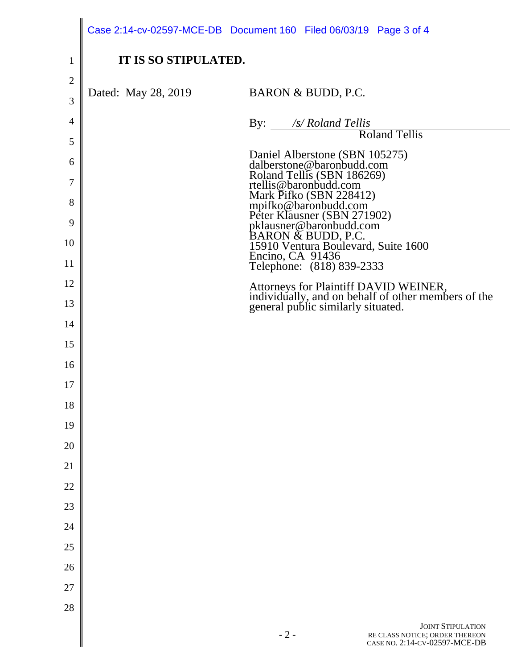|                | Case 2:14-cv-02597-MCE-DB Document 160 Filed 06/03/19 Page 3 of 4                                                                  |
|----------------|------------------------------------------------------------------------------------------------------------------------------------|
| $\mathbf{1}$   | IT IS SO STIPULATED.                                                                                                               |
| $\overline{2}$ |                                                                                                                                    |
| 3              | Dated: May 28, 2019<br>BARON & BUDD, P.C.                                                                                          |
| $\overline{4}$ | By: /s/ Roland Tellis                                                                                                              |
| 5              | <b>Roland Tellis</b>                                                                                                               |
| 6              | Daniel Alberstone (SBN 105275)<br>dalberstone@baronbudd.com                                                                        |
| 7              | Roland Tellis (SBN 186269)<br>rtellis@baronbudd.com                                                                                |
| 8              | Mark Pifko (SBN 228412)                                                                                                            |
| 9              | mpifko@baronbudd.com<br>Peter Klausner (SBN 271902)<br>pklausner@baronbudd.com                                                     |
| 10             | BARON & BUDD, P.C.<br>15910 Ventura Boulevard, Suite 1600                                                                          |
| 11             | Encino, CA 91436<br>Telephone: (818) 839-2333                                                                                      |
| 12             |                                                                                                                                    |
| 13             | Attorneys for Plaintiff DAVID WEINER,<br>individually, and on behalf of other members of the<br>general public similarly situated. |
| 14             |                                                                                                                                    |
| 15             |                                                                                                                                    |
| 16             |                                                                                                                                    |
| 17             |                                                                                                                                    |
| 18             |                                                                                                                                    |
| 19             |                                                                                                                                    |
| 20             |                                                                                                                                    |
| 21             |                                                                                                                                    |
| 22             |                                                                                                                                    |
| 23             |                                                                                                                                    |
| 24             |                                                                                                                                    |
| 25             |                                                                                                                                    |
| 26             |                                                                                                                                    |
| 27             |                                                                                                                                    |
| 28             |                                                                                                                                    |
|                | <b>JOINT STIPULATION</b><br>$-2-$<br>RE CLASS NOTICE; ORDER THEREON<br>CASE NO. 2:14-CV-02597-MCE-DB                               |